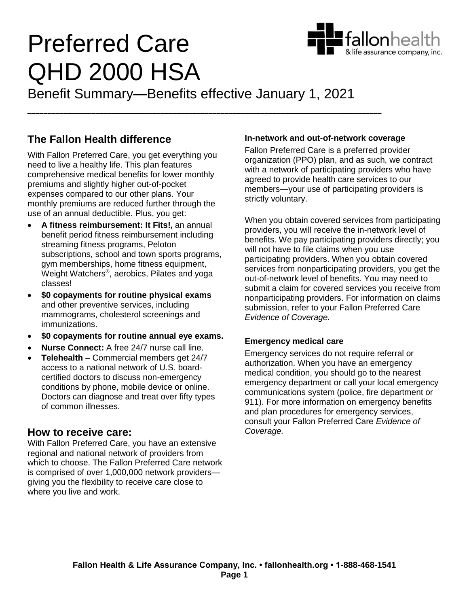# Preferred Care QHD 2000 HSA



Benefit Summary—Benefits effective January 1, 2021

*\_\_\_\_\_\_\_\_\_\_\_\_\_\_\_\_\_\_\_\_\_\_\_\_\_\_\_\_\_\_\_\_\_\_\_\_\_\_\_\_\_\_\_\_\_\_\_\_\_\_\_\_\_\_\_\_\_\_\_\_\_\_\_\_\_\_\_\_\_\_\_\_\_\_\_\_\_\_\_\_\_\_\_\_\_\_\_\_*

## **The Fallon Health difference**

With Fallon Preferred Care, you get everything you need to live a healthy life. This plan features comprehensive medical benefits for lower monthly premiums and slightly higher out-of-pocket expenses compared to our other plans. Your monthly premiums are reduced further through the use of an annual deductible. Plus, you get:

- **A fitness reimbursement: It Fits!,** an annual benefit period fitness reimbursement including streaming fitness programs, Peloton subscriptions, school and town sports programs, gym memberships, home fitness equipment, Weight Watchers® , aerobics, Pilates and yoga classes!
- **\$0 copayments for routine physical exams** and other preventive services, including mammograms, cholesterol screenings and immunizations.
- **\$0 copayments for routine annual eye exams.**
- **Nurse Connect:** A free 24/7 nurse call line.
- **Telehealth –** Commercial members get 24/7 access to a national network of U.S. boardcertified doctors to discuss non-emergency conditions by phone, mobile device or online. Doctors can diagnose and treat over fifty types of common illnesses.

### **How to receive care:**

With Fallon Preferred Care, you have an extensive regional and national network of providers from which to choose. The Fallon Preferred Care network is comprised of over 1,000,000 network providers giving you the flexibility to receive care close to where you live and work.

#### **In-network and out-of-network coverage**

Fallon Preferred Care is a preferred provider organization (PPO) plan, and as such, we contract with a network of participating providers who have agreed to provide health care services to our members—your use of participating providers is strictly voluntary.

When you obtain covered services from participating providers, you will receive the in-network level of benefits. We pay participating providers directly; you will not have to file claims when you use participating providers. When you obtain covered services from nonparticipating providers, you get the out-of-network level of benefits. You may need to submit a claim for covered services you receive from nonparticipating providers. For information on claims submission, refer to your Fallon Preferred Care *Evidence of Coverage.*

#### **Emergency medical care**

Emergency services do not require referral or authorization. When you have an emergency medical condition, you should go to the nearest emergency department or call your local emergency communications system (police, fire department or 911). For more information on emergency benefits and plan procedures for emergency services, consult your Fallon Preferred Care *Evidence of Coverage.*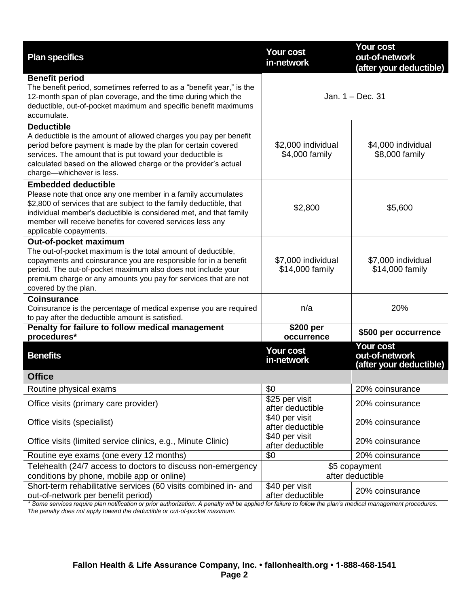| <b>Plan specifics</b>                                                                                                                                                                                                                                                                                                          | <b>Your cost</b><br>in-network                                                                       | <b>Your cost</b><br>out-of-network<br>(after your deductible) |
|--------------------------------------------------------------------------------------------------------------------------------------------------------------------------------------------------------------------------------------------------------------------------------------------------------------------------------|------------------------------------------------------------------------------------------------------|---------------------------------------------------------------|
| <b>Benefit period</b><br>The benefit period, sometimes referred to as a "benefit year," is the<br>12-month span of plan coverage, and the time during which the<br>deductible, out-of-pocket maximum and specific benefit maximums<br>accumulate.                                                                              | Jan. $1 - Dec.$ 31                                                                                   |                                                               |
| <b>Deductible</b><br>A deductible is the amount of allowed charges you pay per benefit<br>period before payment is made by the plan for certain covered<br>services. The amount that is put toward your deductible is<br>calculated based on the allowed charge or the provider's actual<br>charge-whichever is less.          | \$2,000 individual<br>\$4,000 family                                                                 | \$4,000 individual<br>\$8,000 family                          |
| <b>Embedded deductible</b><br>Please note that once any one member in a family accumulates<br>\$2,800 of services that are subject to the family deductible, that<br>individual member's deductible is considered met, and that family<br>member will receive benefits for covered services less any<br>applicable copayments. | \$2,800                                                                                              | \$5,600                                                       |
| Out-of-pocket maximum<br>The out-of-pocket maximum is the total amount of deductible,<br>copayments and coinsurance you are responsible for in a benefit<br>period. The out-of-pocket maximum also does not include your<br>premium charge or any amounts you pay for services that are not<br>covered by the plan.            | \$7,000 individual<br>\$14,000 family                                                                | \$7,000 individual<br>\$14,000 family                         |
| <b>Coinsurance</b><br>Coinsurance is the percentage of medical expense you are required<br>to pay after the deductible amount is satisfied.                                                                                                                                                                                    | n/a                                                                                                  | 20%                                                           |
| Penalty for failure to follow medical management<br>procedures*                                                                                                                                                                                                                                                                | \$200 per<br>occurrence                                                                              | \$500 per occurrence                                          |
| <b>Benefits</b>                                                                                                                                                                                                                                                                                                                | <b>Your cost</b><br>in-network                                                                       | <b>Your cost</b><br>out-of-network<br>(after your deductible) |
| <b>Office</b>                                                                                                                                                                                                                                                                                                                  |                                                                                                      |                                                               |
| Routine physical exams                                                                                                                                                                                                                                                                                                         | \$0                                                                                                  | 20% coinsurance                                               |
| Office visits (primary care provider)                                                                                                                                                                                                                                                                                          | \$25 per visit<br>after deductible                                                                   | 20% coinsurance                                               |
| Office visits (specialist)                                                                                                                                                                                                                                                                                                     | \$40 per visit<br>after deductible                                                                   | 20% coinsurance                                               |
| Office visits (limited service clinics, e.g., Minute Clinic)                                                                                                                                                                                                                                                                   | \$40 per visit<br>after deductible                                                                   | 20% coinsurance                                               |
| Routine eye exams (one every 12 months)                                                                                                                                                                                                                                                                                        | \$0                                                                                                  | 20% coinsurance                                               |
| Telehealth (24/7 access to doctors to discuss non-emergency<br>conditions by phone, mobile app or online)                                                                                                                                                                                                                      | \$5 copayment<br>after deductible                                                                    |                                                               |
| Short-term rehabilitative services (60 visits combined in- and<br>out-of-network per benefit period)<br>* Some senvices require plan potitication or prior authorization. A penalty will be applied                                                                                                                            | \$40 per visit<br>after deductible<br>for failure to follow the plan's modical management procedures | 20% coinsurance                                               |

*\* Some services require plan notification or prior authorization. A penalty will be applied for failure to follow the plan's medical management procedures. The penalty does not apply toward the deductible or out-of-pocket maximum.*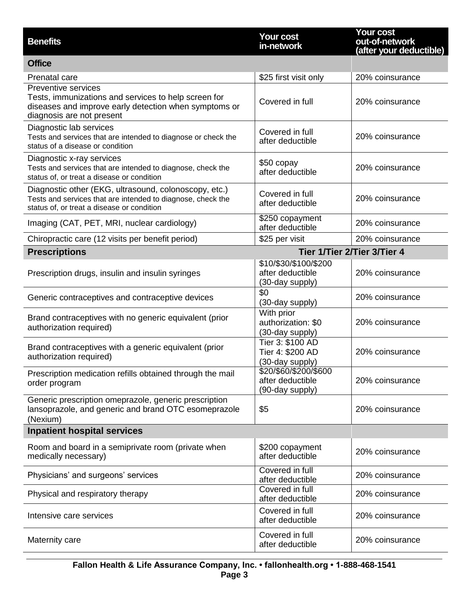| <b>Benefits</b>                                                                                                                                                          | <b>Your cost</b><br>in-network                               | Your cost<br>out-of-network<br>(after your deductible) |
|--------------------------------------------------------------------------------------------------------------------------------------------------------------------------|--------------------------------------------------------------|--------------------------------------------------------|
| <b>Office</b>                                                                                                                                                            |                                                              |                                                        |
| Prenatal care                                                                                                                                                            | \$25 first visit only                                        | 20% coinsurance                                        |
| <b>Preventive services</b><br>Tests, immunizations and services to help screen for<br>diseases and improve early detection when symptoms or<br>diagnosis are not present | Covered in full                                              | 20% coinsurance                                        |
| Diagnostic lab services<br>Tests and services that are intended to diagnose or check the<br>status of a disease or condition                                             | Covered in full<br>after deductible                          | 20% coinsurance                                        |
| Diagnostic x-ray services<br>Tests and services that are intended to diagnose, check the<br>status of, or treat a disease or condition                                   | \$50 copay<br>after deductible                               | 20% coinsurance                                        |
| Diagnostic other (EKG, ultrasound, colonoscopy, etc.)<br>Tests and services that are intended to diagnose, check the<br>status of, or treat a disease or condition       | Covered in full<br>after deductible                          | 20% coinsurance                                        |
| Imaging (CAT, PET, MRI, nuclear cardiology)                                                                                                                              | \$250 copayment<br>after deductible                          | 20% coinsurance                                        |
| Chiropractic care (12 visits per benefit period)                                                                                                                         | \$25 per visit                                               | 20% coinsurance                                        |
| <b>Prescriptions</b>                                                                                                                                                     | Tier 1/Tier 2/Tier 3/Tier 4                                  |                                                        |
| Prescription drugs, insulin and insulin syringes                                                                                                                         | \$10/\$30/\$100/\$200<br>after deductible<br>(30-day supply) | 20% coinsurance                                        |
| Generic contraceptives and contraceptive devices                                                                                                                         | \$0<br>(30-day supply)                                       | 20% coinsurance                                        |
| Brand contraceptives with no generic equivalent (prior<br>authorization required)                                                                                        | With prior<br>authorization: \$0<br>(30-day supply)          | 20% coinsurance                                        |
| Brand contraceptives with a generic equivalent (prior<br>authorization required)                                                                                         | Tier 3: \$100 AD<br>Tier 4: \$200 AD<br>(30-day supply)      | 20% coinsurance                                        |
| Prescription medication refills obtained through the mail<br>order program                                                                                               | \$20/\$60/\$200/\$600<br>after deductible<br>(90-day supply) | 20% coinsurance                                        |
| Generic prescription omeprazole, generic prescription<br>lansoprazole, and generic and brand OTC esomeprazole<br>(Nexium)                                                | \$5                                                          | 20% coinsurance                                        |
| <b>Inpatient hospital services</b>                                                                                                                                       |                                                              |                                                        |
| Room and board in a semiprivate room (private when<br>medically necessary)                                                                                               | \$200 copayment<br>after deductible                          | 20% coinsurance                                        |
| Physicians' and surgeons' services                                                                                                                                       | Covered in full<br>after deductible                          | 20% coinsurance                                        |
| Physical and respiratory therapy                                                                                                                                         | Covered in full<br>after deductible                          | 20% coinsurance                                        |
| Intensive care services                                                                                                                                                  | Covered in full<br>after deductible                          | 20% coinsurance                                        |
| Maternity care                                                                                                                                                           | Covered in full<br>after deductible                          | 20% coinsurance                                        |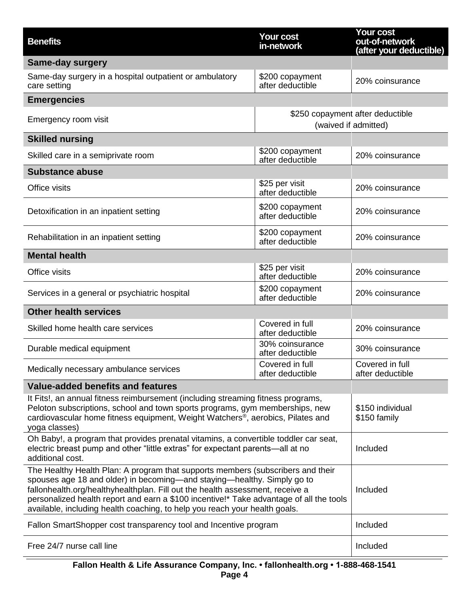| <b>Benefits</b>                                                                                                                                                                                                                                                                                                                                                                                                      | <b>Your cost</b><br>in-network                           | <b>Your cost</b><br>out-of-network<br>(after your deductible) |
|----------------------------------------------------------------------------------------------------------------------------------------------------------------------------------------------------------------------------------------------------------------------------------------------------------------------------------------------------------------------------------------------------------------------|----------------------------------------------------------|---------------------------------------------------------------|
| <b>Same-day surgery</b>                                                                                                                                                                                                                                                                                                                                                                                              |                                                          |                                                               |
| Same-day surgery in a hospital outpatient or ambulatory<br>care setting                                                                                                                                                                                                                                                                                                                                              | \$200 copayment<br>after deductible                      | 20% coinsurance                                               |
| <b>Emergencies</b>                                                                                                                                                                                                                                                                                                                                                                                                   |                                                          |                                                               |
| Emergency room visit                                                                                                                                                                                                                                                                                                                                                                                                 | \$250 copayment after deductible<br>(waived if admitted) |                                                               |
| <b>Skilled nursing</b>                                                                                                                                                                                                                                                                                                                                                                                               |                                                          |                                                               |
| Skilled care in a semiprivate room                                                                                                                                                                                                                                                                                                                                                                                   | \$200 copayment<br>after deductible                      | 20% coinsurance                                               |
| <b>Substance abuse</b>                                                                                                                                                                                                                                                                                                                                                                                               |                                                          |                                                               |
| Office visits                                                                                                                                                                                                                                                                                                                                                                                                        | \$25 per visit<br>after deductible                       | 20% coinsurance                                               |
| Detoxification in an inpatient setting                                                                                                                                                                                                                                                                                                                                                                               | \$200 copayment<br>after deductible                      | 20% coinsurance                                               |
| Rehabilitation in an inpatient setting                                                                                                                                                                                                                                                                                                                                                                               | \$200 copayment<br>after deductible                      | 20% coinsurance                                               |
| <b>Mental health</b>                                                                                                                                                                                                                                                                                                                                                                                                 |                                                          |                                                               |
| Office visits                                                                                                                                                                                                                                                                                                                                                                                                        | \$25 per visit<br>after deductible                       | 20% coinsurance                                               |
| Services in a general or psychiatric hospital                                                                                                                                                                                                                                                                                                                                                                        | \$200 copayment<br>after deductible                      | 20% coinsurance                                               |
| <b>Other health services</b>                                                                                                                                                                                                                                                                                                                                                                                         |                                                          |                                                               |
| Skilled home health care services                                                                                                                                                                                                                                                                                                                                                                                    | Covered in full<br>after deductible                      | 20% coinsurance                                               |
| Durable medical equipment                                                                                                                                                                                                                                                                                                                                                                                            | 30% coinsurance<br>after deductible                      | 30% coinsurance                                               |
| Medically necessary ambulance services                                                                                                                                                                                                                                                                                                                                                                               | Covered in full<br>after deductible                      | Covered in full<br>after deductible                           |
| Value-added benefits and features                                                                                                                                                                                                                                                                                                                                                                                    |                                                          |                                                               |
| It Fits!, an annual fitness reimbursement (including streaming fitness programs,<br>Peloton subscriptions, school and town sports programs, gym memberships, new<br>cardiovascular home fitness equipment, Weight Watchers <sup>®</sup> , aerobics, Pilates and<br>yoga classes)                                                                                                                                     |                                                          | \$150 individual<br>\$150 family                              |
| Oh Baby!, a program that provides prenatal vitamins, a convertible toddler car seat,<br>electric breast pump and other "little extras" for expectant parents—all at no<br>additional cost.                                                                                                                                                                                                                           |                                                          | Included                                                      |
| The Healthy Health Plan: A program that supports members (subscribers and their<br>spouses age 18 and older) in becoming—and staying—healthy. Simply go to<br>fallonhealth.org/healthyhealthplan. Fill out the health assessment, receive a<br>personalized health report and earn a \$100 incentive!* Take advantage of all the tools<br>available, including health coaching, to help you reach your health goals. |                                                          | Included                                                      |
| Fallon SmartShopper cost transparency tool and Incentive program                                                                                                                                                                                                                                                                                                                                                     |                                                          | Included                                                      |
| Free 24/7 nurse call line                                                                                                                                                                                                                                                                                                                                                                                            |                                                          | Included                                                      |